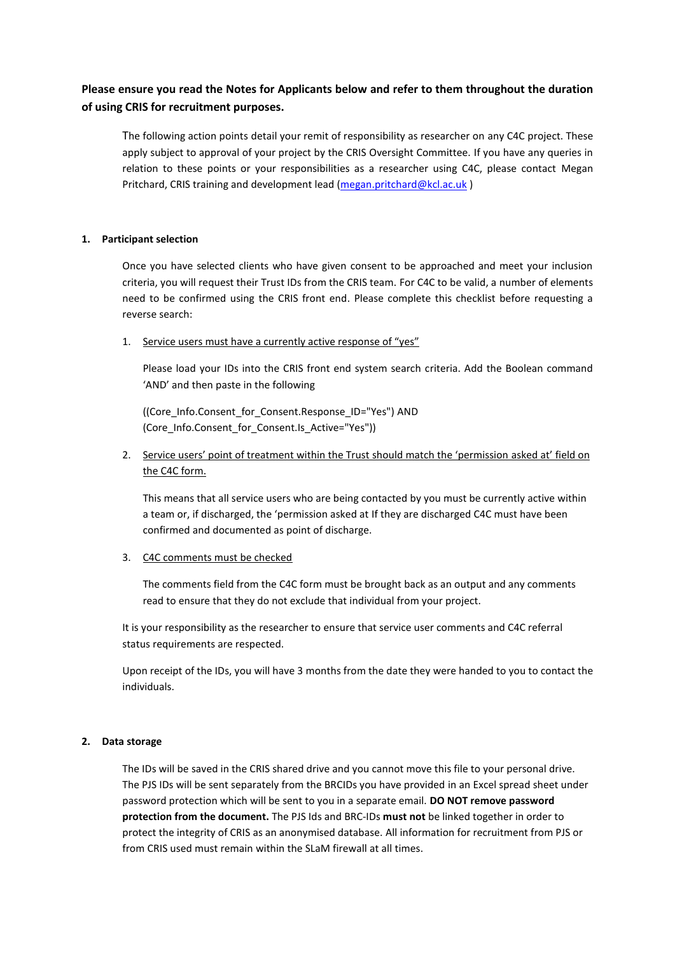# **Please ensure you read the Notes for Applicants below and refer to them throughout the duration of using CRIS for recruitment purposes.**

The following action points detail your remit of responsibility as researcher on any C4C project. These apply subject to approval of your project by the CRIS Oversight Committee. If you have any queries in relation to these points or your responsibilities as a researcher using C4C, please contact Megan Pritchard, CRIS training and development lead [\(megan.pritchard@kcl.ac.uk](mailto:megan.pritchard@kcl.ac.uk))

### **1. Participant selection**

Once you have selected clients who have given consent to be approached and meet your inclusion criteria, you will request their Trust IDs from the CRIS team. For C4C to be valid, a number of elements need to be confirmed using the CRIS front end. Please complete this checklist before requesting a reverse search:

1. Service users must have a currently active response of "yes"

Please load your IDs into the CRIS front end system search criteria. Add the Boolean command 'AND' and then paste in the following

((Core\_Info.Consent\_for\_Consent.Response\_ID="Yes") AND (Core\_Info.Consent\_for\_Consent.Is\_Active="Yes"))

2. Service users' point of treatment within the Trust should match the 'permission asked at' field on the C4C form.

This means that all service users who are being contacted by you must be currently active within a team or, if discharged, the 'permission asked at If they are discharged C4C must have been confirmed and documented as point of discharge.

## 3. C4C comments must be checked

The comments field from the C4C form must be brought back as an output and any comments read to ensure that they do not exclude that individual from your project.

It is your responsibility as the researcher to ensure that service user comments and C4C referral status requirements are respected.

Upon receipt of the IDs, you will have 3 months from the date they were handed to you to contact the individuals.

#### **2. Data storage**

The IDs will be saved in the CRIS shared drive and you cannot move this file to your personal drive. The PJS IDs will be sent separately from the BRCIDs you have provided in an Excel spread sheet under password protection which will be sent to you in a separate email. **DO NOT remove password protection from the document.** The PJS Ids and BRC-IDs **must not** be linked together in order to protect the integrity of CRIS as an anonymised database. All information for recruitment from PJS or from CRIS used must remain within the SLaM firewall at all times.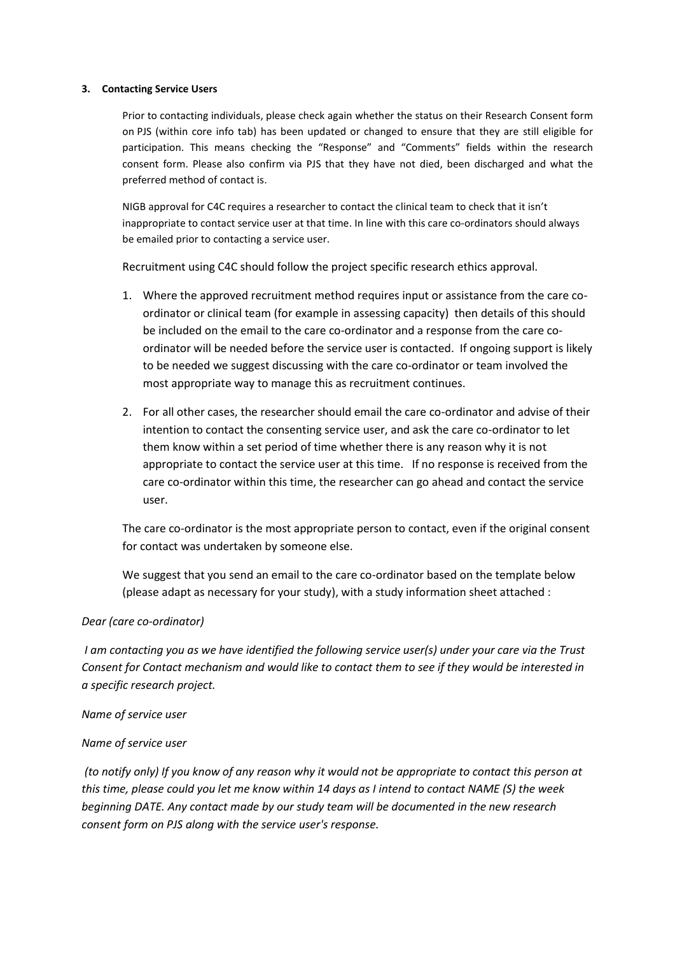#### **3. Contacting Service Users**

Prior to contacting individuals, please check again whether the status on their Research Consent form on PJS (within core info tab) has been updated or changed to ensure that they are still eligible for participation. This means checking the "Response" and "Comments" fields within the research consent form. Please also confirm via PJS that they have not died, been discharged and what the preferred method of contact is.

NIGB approval for C4C requires a researcher to contact the clinical team to check that it isn't inappropriate to contact service user at that time. In line with this care co-ordinators should always be emailed prior to contacting a service user.

Recruitment using C4C should follow the project specific research ethics approval.

- 1. Where the approved recruitment method requires input or assistance from the care coordinator or clinical team (for example in assessing capacity) then details of this should be included on the email to the care co-ordinator and a response from the care coordinator will be needed before the service user is contacted. If ongoing support is likely to be needed we suggest discussing with the care co-ordinator or team involved the most appropriate way to manage this as recruitment continues.
- 2. For all other cases, the researcher should email the care co-ordinator and advise of their intention to contact the consenting service user, and ask the care co-ordinator to let them know within a set period of time whether there is any reason why it is not appropriate to contact the service user at this time. If no response is received from the care co-ordinator within this time, the researcher can go ahead and contact the service user.

The care co-ordinator is the most appropriate person to contact, even if the original consent for contact was undertaken by someone else.

We suggest that you send an email to the care co-ordinator based on the template below (please adapt as necessary for your study), with a study information sheet attached :

#### *Dear (care co-ordinator)*

*I am contacting you as we have identified the following service user(s) under your care via the Trust Consent for Contact mechanism and would like to contact them to see if they would be interested in a specific research project.* 

#### *Name of service user*

#### *Name of service user*

*(to notify only) If you know of any reason why it would not be appropriate to contact this person at this time, please could you let me know within 14 days as I intend to contact NAME (S) the week beginning DATE. Any contact made by our study team will be documented in the new research consent form on PJS along with the service user's response.*